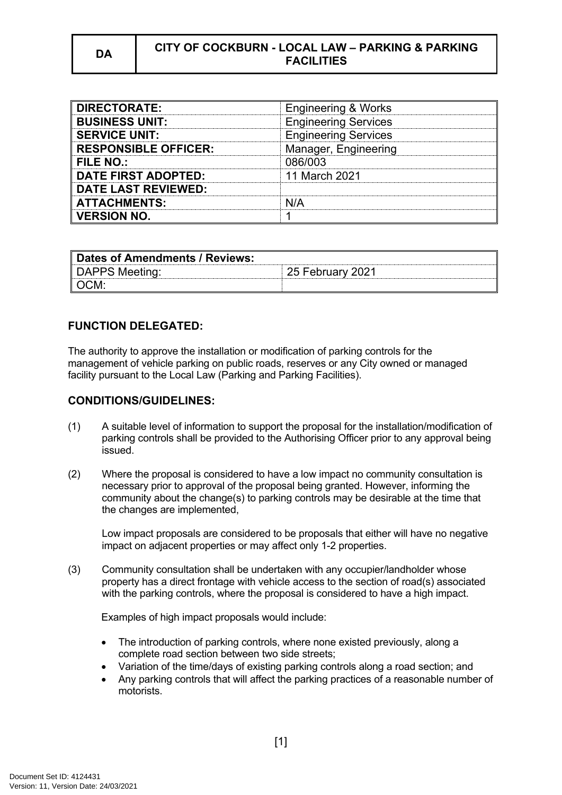## **DA CITY OF COCKBURN - LOCAL LAW – PARKING & PARKING FACILITIES**

| <b>DIRECTORATE:</b>         | <b>Engineering &amp; Works</b> |
|-----------------------------|--------------------------------|
| <b>BUSINESS UNIT:</b>       | <b>Engineering Services</b>    |
| <b>SERVICE UNIT:</b>        | <b>Engineering Services</b>    |
| <b>RESPONSIBLE OFFICER:</b> | Manager, Engineering           |
| <b>FILE NO.:</b>            | 086/003                        |
| <b>DATE FIRST ADOPTED:</b>  | 11 March 2021                  |
| <b>DATE LAST REVIEWED:</b>  |                                |
| <b>ATTACHMENTS:</b>         |                                |
| <b>VERSION NO.</b>          |                                |

| Dates of Amendments / Reviews: |                  |
|--------------------------------|------------------|
| DAPPS Meeting:                 | 25 February 2021 |
| ∥OCM:                          |                  |

# **FUNCTION DELEGATED:**

The authority to approve the installation or modification of parking controls for the management of vehicle parking on public roads, reserves or any City owned or managed facility pursuant to the Local Law (Parking and Parking Facilities).

#### **CONDITIONS/GUIDELINES:**

- (1) A suitable level of information to support the proposal for the installation/modification of parking controls shall be provided to the Authorising Officer prior to any approval being issued.
- (2) Where the proposal is considered to have a low impact no community consultation is necessary prior to approval of the proposal being granted. However, informing the community about the change(s) to parking controls may be desirable at the time that the changes are implemented,

Low impact proposals are considered to be proposals that either will have no negative impact on adjacent properties or may affect only 1-2 properties.

(3) Community consultation shall be undertaken with any occupier/landholder whose property has a direct frontage with vehicle access to the section of road(s) associated with the parking controls, where the proposal is considered to have a high impact.

Examples of high impact proposals would include:

- The introduction of parking controls, where none existed previously, along a complete road section between two side streets;
- Variation of the time/days of existing parking controls along a road section; and
- Any parking controls that will affect the parking practices of a reasonable number of motorists.